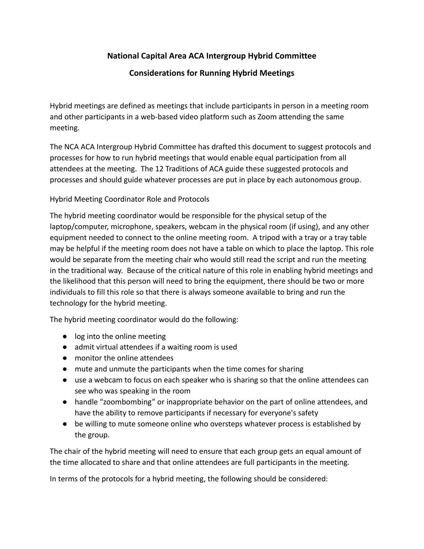## **National Capital Area ACA Intergroup Hybrid Committee**

## **Considerations for Running Hybrid Meetings**

Hybrid meetings are defined as meetings that include participants in person in a meeting room and other participants in a web-based video platform such as Zoom attending the same meeting.

The NCA ACA Intergroup Hybrid Committee has drafted this document to suggest protocols and processes for how to run hybrid meetings that would enable equal participation from all attendees at the meeting. The 12 Traditions of ACA guide these suggested protocols and processes and should guide whatever processes are put in place by each autonomous group.

Hybrid Meeting Coordinator Role and Protocols

The hybrid meeting coordinator would be responsible for the physical setup of the laptop/computer, microphone, speakers, webcam in the physical room (if using), and any other equipment needed to connect to the online meeting room. A tripod with a tray or a tray table may be helpful if the meeting room does not have a table on which to place the laptop. This role would be separate from the meeting chair who would still read the script and run the meeting in the traditional way. Because of the critical nature of this role in enabling hybrid meetings and the likelihood that this person will need to bring the equipment, there should be two or more individuals to fill this role so that there is always someone available to bring and run the technology for the hybrid meeting.

The hybrid meeting coordinator would do the following:

- log into the online meeting
- admit virtual attendees if a waiting room is used
- monitor the online attendees
- mute and unmute the participants when the time comes for sharing
- use a webcam to focus on each speaker who is sharing so that the online attendees can see who was speaking in the room
- handle "zoombombing" or inappropriate behavior on the part of online attendees, and have the ability to remove participants if necessary for everyone's safety
- be willing to mute someone online who oversteps whatever process is established by the group.

The chair of the hybrid meeting will need to ensure that each group gets an equal amount of the time allocated to share and that online attendees are full participants in the meeting.

In terms of the protocols for a hybrid meeting, the following should be considered: